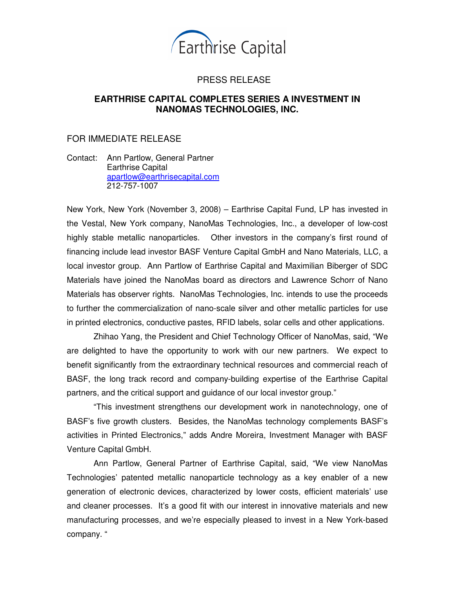

# PRESS RELEASE

## **EARTHRISE CAPITAL COMPLETES SERIES A INVESTMENT IN NANOMAS TECHNOLOGIES, INC.**

## FOR IMMEDIATE RELEASE

Contact: Ann Partlow, General Partner Earthrise Capital apartlow@earthrisecapital.com 212-757-1007

New York, New York (November 3, 2008) – Earthrise Capital Fund, LP has invested in the Vestal, New York company, NanoMas Technologies, Inc., a developer of low-cost highly stable metallic nanoparticles. Other investors in the company's first round of financing include lead investor BASF Venture Capital GmbH and Nano Materials, LLC, a local investor group. Ann Partlow of Earthrise Capital and Maximilian Biberger of SDC Materials have joined the NanoMas board as directors and Lawrence Schorr of Nano Materials has observer rights. NanoMas Technologies, Inc. intends to use the proceeds to further the commercialization of nano-scale silver and other metallic particles for use in printed electronics, conductive pastes, RFID labels, solar cells and other applications.

Zhihao Yang, the President and Chief Technology Officer of NanoMas, said, "We are delighted to have the opportunity to work with our new partners. We expect to benefit significantly from the extraordinary technical resources and commercial reach of BASF, the long track record and company-building expertise of the Earthrise Capital partners, and the critical support and guidance of our local investor group."

"This investment strengthens our development work in nanotechnology, one of BASF's five growth clusters. Besides, the NanoMas technology complements BASF's activities in Printed Electronics," adds Andre Moreira, Investment Manager with BASF Venture Capital GmbH.

Ann Partlow, General Partner of Earthrise Capital, said, "We view NanoMas Technologies' patented metallic nanoparticle technology as a key enabler of a new generation of electronic devices, characterized by lower costs, efficient materials' use and cleaner processes. It's a good fit with our interest in innovative materials and new manufacturing processes, and we're especially pleased to invest in a New York-based company. "